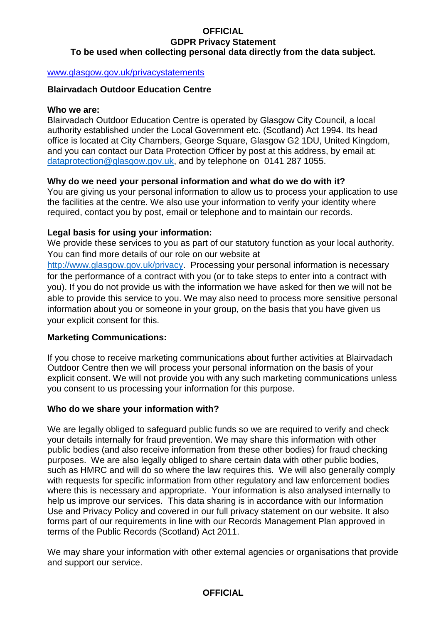#### **OFFICIAL GDPR Privacy Statement To be used when collecting personal data directly from the data subject.**

#### [www.glasgow.gov.uk/privacystatements](https://glasgow.gov.uk/privacystatements)

#### **Blairvadach Outdoor Education Centre**

### **Who we are:**

Blairvadach Outdoor Education Centre is operated by Glasgow City Council, a local authority established under the Local Government etc. (Scotland) Act 1994. Its head office is located at City Chambers, George Square, Glasgow G2 1DU, United Kingdom, and you can contact our Data Protection Officer by post at this address, by email at: [dataprotection@glasgow.gov.uk,](dataprotection@glasgow.gov.uk) and by telephone on 0141 287 1055.

#### **Why do we need your personal information and what do we do with it?**

You are giving us your personal information to allow us to process your application to use the facilities at the centre. We also use your information to verify your identity where required, contact you by post, email or telephone and to maintain our records.

#### **Legal basis for using your information:**

We provide these services to you as part of our statutory function as your local authority. You can find more details of our role on our website at

[http://www.glasgow.gov.uk/privacy.](http://www.glasgow.gov.uk/privacy) Processing your personal information is necessary for the performance of a contract with you (or to take steps to enter into a contract with you). If you do not provide us with the information we have asked for then we will not be able to provide this service to you. We may also need to process more sensitive personal information about you or someone in your group, on the basis that you have given us your explicit consent for this.

# **Marketing Communications:**

If you chose to receive marketing communications about further activities at Blairvadach Outdoor Centre then we will process your personal information on the basis of your explicit consent. We will not provide you with any such marketing communications unless you consent to us processing your information for this purpose.

#### **Who do we share your information with?**

We are legally obliged to safeguard public funds so we are required to verify and check your details internally for fraud prevention. We may share this information with other public bodies (and also receive information from these other bodies) for fraud checking purposes. We are also legally obliged to share certain data with other public bodies, such as HMRC and will do so where the law requires this. We will also generally comply with requests for specific information from other regulatory and law enforcement bodies where this is necessary and appropriate. Your information is also analysed internally to help us improve our services. This data sharing is in accordance with our Information Use and Privacy Policy and covered in our full privacy statement on our website. It also forms part of our requirements in line with our Records Management Plan approved in terms of the Public Records (Scotland) Act 2011.

We may share your information with other external agencies or organisations that provide and support our service.

#### **OFFICIAL**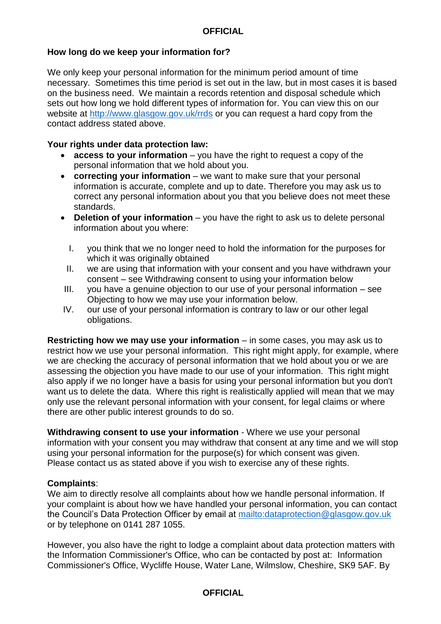### **How long do we keep your information for?**

We only keep your personal information for the minimum period amount of time necessary. Sometimes this time period is set out in the law, but in most cases it is based on the business need. We maintain a records retention and disposal schedule which sets out how long we hold different types of information for. You can view this on our website at<http://www.glasgow.gov.uk/rrds> or you can request a hard copy from the contact address stated above.

#### **Your rights under data protection law:**

- **access to your information** you have the right to request a copy of the personal information that we hold about you.
- **correcting your information** we want to make sure that your personal information is accurate, complete and up to date. Therefore you may ask us to correct any personal information about you that you believe does not meet these standards.
- **Deletion of your information** you have the right to ask us to delete personal information about you where:
	- I. you think that we no longer need to hold the information for the purposes for which it was originally obtained
	- II. we are using that information with your consent and you have withdrawn your consent – see Withdrawing consent to using your information below
- III. you have a genuine objection to our use of your personal information see Objecting to how we may use your information below.
- IV. our use of your personal information is contrary to law or our other legal obligations.

**Restricting how we may use your information** – in some cases, you may ask us to restrict how we use your personal information. This right might apply, for example, where we are checking the accuracy of personal information that we hold about you or we are assessing the objection you have made to our use of your information. This right might also apply if we no longer have a basis for using your personal information but you don't want us to delete the data. Where this right is realistically applied will mean that we may only use the relevant personal information with your consent, for legal claims or where there are other public interest grounds to do so.

**Withdrawing consent to use your information** - Where we use your personal information with your consent you may withdraw that consent at any time and we will stop using your personal information for the purpose(s) for which consent was given. Please contact us as stated above if you wish to exercise any of these rights.

#### **Complaints**:

We aim to directly resolve all complaints about how we handle personal information. If your complaint is about how we have handled your personal information, you can contact the Council's Data Protection Officer by email at<mailto:dataprotection@glasgow.gov.uk> or by telephone on 0141 287 1055.

However, you also have the right to lodge a complaint about data protection matters with the Information Commissioner's Office, who can be contacted by post at: Information Commissioner's Office, Wycliffe House, Water Lane, Wilmslow, Cheshire, SK9 5AF. By

#### **OFFICIAL**